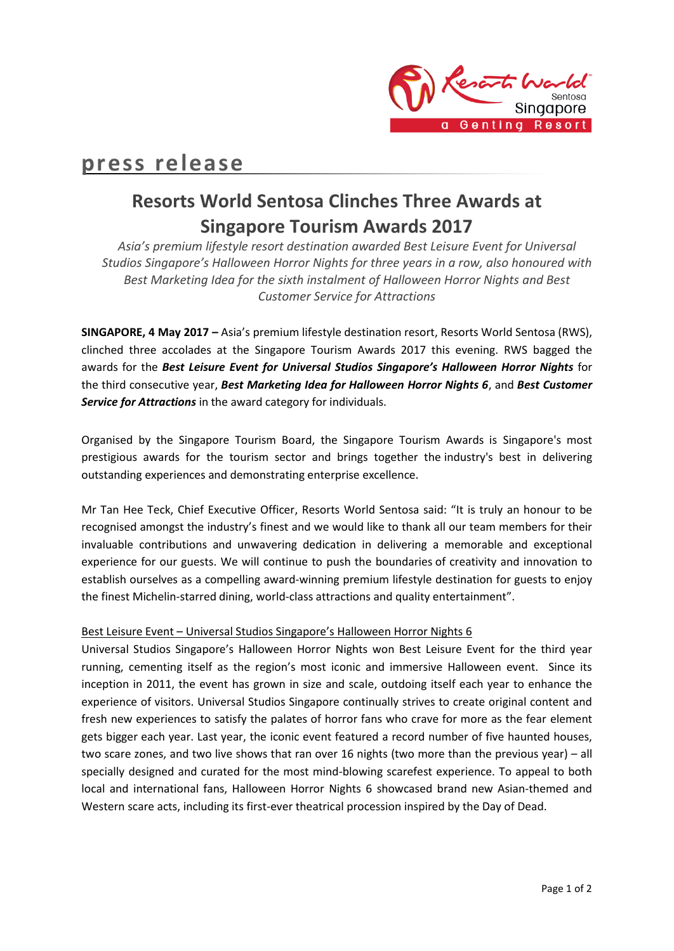

# **press release**

## **Resorts World Sentosa Clinches Three Awards at Singapore Tourism Awards 2017**

*Asia's premium lifestyle resort destination awarded Best Leisure Event for Universal Studios Singapore's Halloween Horror Nights for three years in a row, also honoured with Best Marketing Idea for the sixth instalment of Halloween Horror Nights and Best Customer Service for Attractions*

**SINGAPORE, 4 May 2017 –** Asia's premium lifestyle destination resort, Resorts World Sentosa (RWS), clinched three accolades at the Singapore Tourism Awards 2017 this evening. RWS bagged the awards for the *Best Leisure Event for Universal Studios Singapore's Halloween Horror Nights* for the third consecutive year, *Best Marketing Idea for Halloween Horror Nights 6*, and *Best Customer Service for Attractions* in the award category for individuals.

Organised by the Singapore Tourism Board, the Singapore Tourism Awards is Singapore's most prestigious awards for the tourism sector and brings together the industry's best in delivering outstanding experiences and demonstrating enterprise excellence.

Mr Tan Hee Teck, Chief Executive Officer, Resorts World Sentosa said: "It is truly an honour to be recognised amongst the industry's finest and we would like to thank all our team members for their invaluable contributions and unwavering dedication in delivering a memorable and exceptional experience for our guests. We will continue to push the boundaries of creativity and innovation to establish ourselves as a compelling award-winning premium lifestyle destination for guests to enjoy the finest Michelin-starred dining, world-class attractions and quality entertainment".

## Best Leisure Event – Universal Studios Singapore's Halloween Horror Nights 6

Universal Studios Singapore's Halloween Horror Nights won Best Leisure Event for the third year running, cementing itself as the region's most iconic and immersive Halloween event. Since its inception in 2011, the event has grown in size and scale, outdoing itself each year to enhance the experience of visitors. Universal Studios Singapore continually strives to create original content and fresh new experiences to satisfy the palates of horror fans who crave for more as the fear element gets bigger each year. Last year, the iconic event featured a record number of five haunted houses, two scare zones, and two live shows that ran over 16 nights (two more than the previous year) – all specially designed and curated for the most mind-blowing scarefest experience. To appeal to both local and international fans, Halloween Horror Nights 6 showcased brand new Asian-themed and Western scare acts, including its first-ever theatrical procession inspired by the Day of Dead.